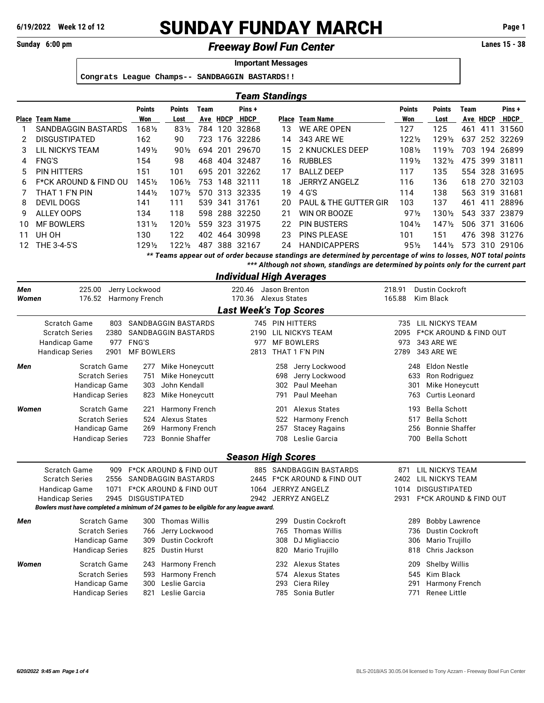## **6/19/2022 Week 12 of 12 SUNDAY FUNDAY MARCH Page 1**

**Sunday 6:00 pm Lanes 15 - 38** *Freeway Bowl Fun Center*

**Important Messages Congrats League Champs-- SANDBAGGIN BASTARDS!!** *Team Standings* **Points Points Team Pins + Points Points Team Pins + Place Team Name Won Lost Ave HDCP HDCP Place Team Name Won Lost Ave HDCP HDCP** SANDBAGGIN BASTARDS 168½ 83½ 784 120 32868 DISGUSTIPATED 162 90 723 176 32286 LIL NICKYS TEAM 149½ 90½ 694 201 29670 FNG'S 154 98 468 404 32487 PIN HITTERS 151 101 695 201 32262 F\*CK AROUND & FIND OU 145½ 106½ 753 148 32111 THAT 1 F'N PIN 144½ 107½ 570 313 32335 DEVIL DOGS 141 111 539 341 31761 ALLEY OOPS 134 118 598 288 32250 MF BOWLERS 131½ 120½ 559 323 31975 UH OH 130 122 402 464 30998 THE 3-4-5'S 129½ 122½ 487 388 32167 WE ARE OPEN 127 125 461 411 31560 343 ARE WE 122½ 129½ 637 252 32269 2 KNUCKLES DEEP 108½ 119½ 703 194 26899 RUBBLES 119½ 132½ 475 399 31811 BALLZ DEEP 117 135 554 328 31695 JERRYZ ANGELZ 116 136 618 270 32103 4 G'S 114 138 563 319 31681 PAUL & THE GUTTER GIR 103 137 461 411 28896 WIN OR BOOZE 97½ 130½ 543 337 23879 PIN BUSTERS 104½ 147½ 506 371 31606 PINS PLEASE 101 151 476 398 31276 HANDICAPPERS 95½ 144½ 573 310 29106 *\*\* Teams appear out of order because standings are determined by percentage of wins to losses, NOT total points*

*\*\*\* Although not shown, standings are determined by points only for the current part*

|       |                                                                                        |      |                                   |                        |                           |                      | <b>Individual High Averages</b>   |        |                                   |
|-------|----------------------------------------------------------------------------------------|------|-----------------------------------|------------------------|---------------------------|----------------------|-----------------------------------|--------|-----------------------------------|
| Men   | 225.00                                                                                 |      | Jerry Lockwood                    | 220.46                 |                           | Jason Brenton        |                                   | 218.91 | <b>Dustin Cockroft</b>            |
| Women | 176.52                                                                                 |      | Harmony French                    | 170.36                 |                           | <b>Alexus States</b> |                                   | 165.88 | Kim Black                         |
|       |                                                                                        |      |                                   |                        |                           |                      | <b>Last Week's Top Scores</b>     |        |                                   |
|       | Scratch Game                                                                           | 803  | SANDBAGGIN BASTARDS               |                        |                           |                      | 745 PIN HITTERS                   | 735    | LIL NICKYS TEAM                   |
|       | <b>Scratch Series</b>                                                                  | 2380 | <b>SANDBAGGIN BASTARDS</b>        |                        | 2190                      |                      | LIL NICKYS TEAM                   | 2095   | <b>F*CK AROUND &amp; FIND OUT</b> |
|       | Handicap Game                                                                          | 977  | <b>FNG'S</b>                      |                        | 977                       |                      | <b>MF BOWLERS</b>                 | 973    | <b>343 ARE WE</b>                 |
|       | <b>Handicap Series</b>                                                                 | 2901 | <b>MF BOWLERS</b>                 |                        | 2813                      |                      | THAT 1 F'N PIN                    | 2789   | <b>343 ARE WE</b>                 |
| Men   | Scratch Game                                                                           |      | 277                               | Mike Honeycutt         |                           | 258                  | Jerry Lockwood                    |        | Eldon Nestle<br>248               |
|       | <b>Scratch Series</b>                                                                  |      | 751                               | Mike Honeycutt         |                           | 698                  | Jerry Lockwood                    |        | Ron Rodriguez<br>633              |
|       | Handicap Game                                                                          |      | 303                               | John Kendall           |                           | 302                  | Paul Meehan                       |        | 301<br>Mike Honeycutt             |
|       | <b>Handicap Series</b>                                                                 |      | 823                               | Mike Honeycutt         |                           | 791                  | Paul Meehan                       |        | Curtis Leonard<br>763             |
| Women | Scratch Game                                                                           |      | 221                               | <b>Harmony French</b>  |                           | 201                  | Alexus States                     |        | <b>Bella Schott</b><br>193        |
|       | <b>Scratch Series</b>                                                                  |      | 524                               | <b>Alexus States</b>   |                           | 522                  | Harmony French                    |        | <b>Bella Schott</b><br>517        |
|       | Handicap Game                                                                          |      | 269                               | Harmony French         |                           | 257                  | <b>Stacey Ragains</b>             |        | <b>Bonnie Shaffer</b><br>256      |
|       | <b>Handicap Series</b>                                                                 |      | 723                               | <b>Bonnie Shaffer</b>  |                           | 708                  | Leslie Garcia                     |        | <b>Bella Schott</b><br>700        |
|       |                                                                                        |      |                                   |                        | <b>Season High Scores</b> |                      |                                   |        |                                   |
|       | <b>Scratch Game</b>                                                                    | 909  | <b>F*CK AROUND &amp; FIND OUT</b> |                        |                           |                      | 885 SANDBAGGIN BASTARDS           | 871    | LIL NICKYS TEAM                   |
|       | <b>Scratch Series</b>                                                                  | 2556 | <b>SANDBAGGIN BASTARDS</b>        |                        | 2445                      |                      | <b>F*CK AROUND &amp; FIND OUT</b> | 2402   | LIL NICKYS TEAM                   |
|       | Handicap Game                                                                          | 1071 | <b>F*CK AROUND &amp; FIND OUT</b> |                        | 1064                      |                      | <b>JERRYZ ANGELZ</b>              | 1014   | <b>DISGUSTIPATED</b>              |
|       | <b>Handicap Series</b>                                                                 | 2945 | <b>DISGUSTIPATED</b>              |                        |                           |                      | 2942 JERRYZ ANGELZ                | 2931   | F*CK AROUND & FIND OUT            |
|       | Bowlers must have completed a minimum of 24 games to be eligible for any league award. |      |                                   |                        |                           |                      |                                   |        |                                   |
| Men   | <b>Scratch Game</b>                                                                    |      | 300                               | <b>Thomas Willis</b>   |                           | 299                  | <b>Dustin Cockroft</b>            |        | <b>Bobby Lawrence</b><br>289      |
|       | <b>Scratch Series</b>                                                                  |      | 766                               | Jerry Lockwood         |                           | 765                  | <b>Thomas Willis</b>              |        | <b>Dustin Cockroft</b><br>736     |
|       | Handicap Game                                                                          |      | 309                               | <b>Dustin Cockroft</b> |                           | 308                  | DJ Migliaccio                     |        | Mario Trujillo<br>306             |
|       | <b>Handicap Series</b>                                                                 |      | 825<br><b>Dustin Hurst</b>        |                        |                           | 820                  | Mario Trujillo                    |        | 818<br>Chris Jackson              |
| Women | <b>Scratch Game</b>                                                                    |      | 243                               | <b>Harmony French</b>  |                           | 232                  | <b>Alexus States</b>              |        | 209<br><b>Shelby Willis</b>       |
|       | <b>Scratch Series</b>                                                                  |      | 593                               | Harmony French         |                           | 574                  | Alexus States                     |        | 545<br>Kim Black                  |
|       | Handicap Game                                                                          |      | 300                               | Leslie Garcia          |                           | 293                  | Ciera Riley                       |        | 291<br>Harmony French             |
|       | <b>Handicap Series</b>                                                                 |      | 821                               | Leslie Garcia          |                           | 785                  | Sonia Butler                      |        | <b>Renee Little</b><br>771        |
|       |                                                                                        |      |                                   |                        |                           |                      |                                   |        |                                   |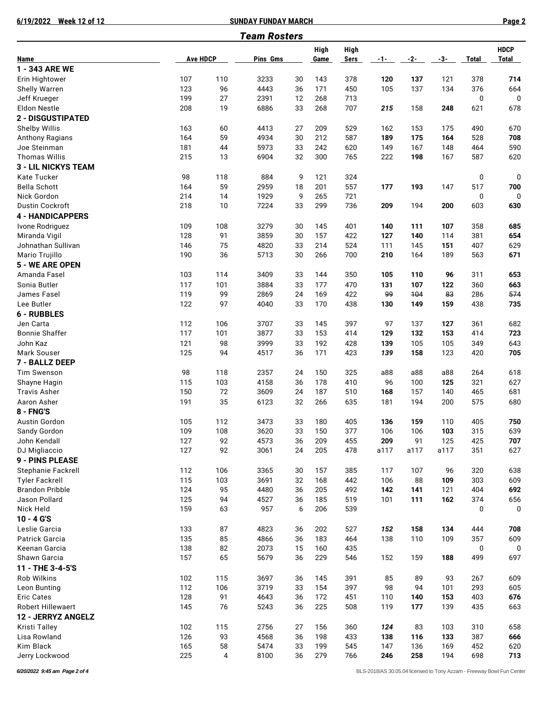**6/19/2022 Week 12 of 12 SUNDAY FUNDAY MARCH Page 2**

|                                                 |                 |           | <b>Team Rosters</b> |          |            |            |            |           |             |              |              |
|-------------------------------------------------|-----------------|-----------|---------------------|----------|------------|------------|------------|-----------|-------------|--------------|--------------|
|                                                 |                 |           |                     |          | High       | High       |            |           |             |              | <b>HDCP</b>  |
| Name                                            | <b>Ave HDCP</b> |           | <b>Pins Gms</b>     |          | Game       | Sers       | $-1-$      | -2-       | $-3-$       | <b>Total</b> | <b>Total</b> |
| 1 - 343 ARE WE                                  |                 |           |                     |          |            |            |            |           |             |              |              |
| Erin Hightower                                  | 107             | 110       | 3233                | 30       | 143        | 378        | 120        | 137       | 121         | 378          | 714          |
| Shelly Warren                                   | 123             | 96        | 4443                | 36       | 171        | 450        | 105        | 137       | 134         | 376          | 664          |
| Jeff Krueger                                    | 199             | 27        | 2391                | 12       | 268        | 713        |            |           |             | 0            | $\mathbf 0$  |
| <b>Eldon Nestle</b>                             | 208             | 19        | 6886                | 33       | 268        | 707        | 215        | 158       | 248         | 621          | 678          |
| 2 - DISGUSTIPATED                               |                 |           |                     |          |            |            |            |           |             |              |              |
| Shelby Willis                                   | 163             | 60        | 4413                | 27       | 209        | 529        | 162        | 153       | 175         | 490          | 670          |
| Anthony Ragians                                 | 164             | 59        | 4934                | 30       | 212        | 587        | 189        | 175       | 164         | 528          | 708          |
| Joe Steinman                                    | 181             | 44        | 5973                | 33       | 242        | 620        | 149        | 167       | 148         | 464          | 590          |
| <b>Thomas Willis</b>                            | 215             | 13        | 6904                | 32       | 300        | 765        | 222        | 198       | 167         | 587          | 620          |
| <b>3 - LIL NICKYS TEAM</b>                      |                 |           |                     |          |            |            |            |           |             |              |              |
| Kate Tucker                                     | 98              | 118       | 884                 | 9        | 121        | 324        |            |           |             | 0            | 0            |
| <b>Bella Schott</b>                             | 164             | 59        | 2959                | 18       | 201        | 557        | 177        | 193       | 147         | 517          | 700          |
| Nick Gordon                                     | 214             | 14        | 1929                | 9        | 265        | 721        |            |           |             | 0            | 0            |
| <b>Dustin Cockroft</b>                          | 218             | 10        | 7224                | 33       | 299        | 736        | 209        | 194       | 200         | 603          | 630          |
| <b>4 - HANDICAPPERS</b>                         |                 |           |                     |          |            |            |            |           |             |              |              |
| Ivone Rodriguez                                 | 109             | 108       | 3279                | 30       | 145        | 401        | 140        | 111       | 107         | 358          | 685          |
| Miranda Vigil                                   | 128             | 91        | 3859                | 30       | 157        | 422        | 127        | 140       | 114         | 381          | 654          |
| Johnathan Sullivan                              | 146             | 75        | 4820                | 33       | 214        | 524        | 111        | 145       | 151         | 407          | 629          |
| Mario Trujillo                                  | 190             | 36        | 5713                | 30       | 266        | 700        | 210        | 164       | 189         | 563          | 671          |
| 5 - WE ARE OPEN                                 |                 |           |                     |          |            |            |            |           |             |              |              |
| Amanda Fasel                                    | 103             | 114       | 3409                | 33       | 144        | 350        | 105        | 110       | 96          | 311          | 653          |
| Sonia Butler                                    | 117             | 101       | 3884                | 33       | 177        | 470        | 131        | 107       | 122         | 360          | 663          |
| James Fasel                                     | 119             | 99        | 2869                | 24       | 169        | 422        | 99         | 104       | 83          | 286          | 574          |
| Lee Butler                                      | 122             | 97        | 4040                | 33       | 170        | 438        | 130        | 149       | 159         | 438          | 735          |
| <b>6 - RUBBLES</b>                              |                 |           |                     |          |            |            |            |           |             |              |              |
| Jen Carta                                       | 112             | 106       | 3707                | 33       | 145        | 397        | 97         | 137       | 127         | 361          | 682          |
| <b>Bonnie Shaffer</b>                           | 117             | 101       | 3877                | 33       | 153        | 414        | 129        | 132       | 153         | 414          | 723          |
| John Kaz                                        | 121             | 98        | 3999                | 33       | 192        | 428        | 139        | 105       | 105         | 349          | 643          |
| Mark Souser                                     | 125             | 94        | 4517                | 36       | 171        | 423        | 139        | 158       | 123         | 420          | 705          |
| 7 - BALLZ DEEP                                  |                 |           |                     |          |            |            |            |           |             |              |              |
| <b>Tim Swenson</b>                              | 98              | 118       | 2357                | 24       | 150        | 325        | a88        | a88       | a88         | 264          | 618          |
| Shayne Hagin                                    | 115             | 103       | 4158                | 36       | 178        | 410        | 96         | 100       | 125         | 321          | 627          |
| <b>Travis Asher</b>                             | 150             | 72        | 3609                | 24       | 187        | 510        | 168        | 157       | 140         | 465          | 681          |
| Aaron Asher                                     | 191             | 35        | 6123                | 32       | 266        | 635        | 181        | 194       | 200         | 575          | 680          |
| 8 - FNG'S                                       |                 |           |                     |          |            |            |            |           |             |              |              |
| Austin Gordon                                   | 105             | 112       | 3473                | 33       | 180        | 405        | 136        | 159       | 110         | 405          | 750          |
| Sandy Gordon                                    | 109             | 108       | 3620                | 33       | 150        | 377        | 106        | 106       | 103         | 315          | 639          |
| John Kendall                                    | 127<br>127      | 92        | 4573                | 36       | 209        | 455        | 209        | 91        | 125<br>a117 | 425          | 707          |
| DJ Migliaccio                                   |                 | 92        | 3061                | 24       | 205        | 478        | a117       | a117      |             | 351          | 627          |
| 9 - PINS PLEASE                                 |                 |           |                     |          |            |            |            |           |             |              |              |
| Stephanie Fackrell                              | 112<br>115      | 106       | 3365                | 30       | 157        | 385<br>442 | 117        | 107<br>88 | 96<br>109   | 320          | 638          |
| <b>Tyler Fackrell</b><br><b>Brandon Pribble</b> | 124             | 103<br>95 | 3691<br>4480        | 32<br>36 | 168<br>205 | 492        | 106<br>142 | 141       | 121         | 303<br>404   | 609<br>692   |
| Jason Pollard                                   | 125             | 94        | 4527                | 36       | 185        | 519        | 101        | 111       | 162         | 374          | 656          |
| Nick Held                                       | 159             | 63        | 957                 | 6        | 206        | 539        |            |           |             | 0            | 0            |
| $10 - 4 G'S$                                    |                 |           |                     |          |            |            |            |           |             |              |              |
| Leslie Garcia                                   | 133             | 87        | 4823                | 36       | 202        | 527        | 152        | 158       | 134         | 444          | 708          |
| Patrick Garcia                                  | 135             | 85        | 4866                | 36       | 183        | 464        | 138        | 110       | 109         | 357          | 609          |
| Keenan Garcia                                   | 138             | 82        | 2073                | 15       | 160        | 435        |            |           |             | 0            | 0            |
| Shawn Garcia                                    | 157             | 65        | 5679                | 36       | 229        | 546        | 152        | 159       | 188         | 499          | 697          |
| 11 - THE 3-4-5'S                                |                 |           |                     |          |            |            |            |           |             |              |              |
| Rob Wilkins                                     | 102             | 115       | 3697                | 36       | 145        | 391        | 85         | 89        | 93          | 267          | 609          |
| Leon Bunting                                    | 112             | 106       | 3719                | 33       | 154        | 397        | 98         | 94        | 101         | 293          | 605          |
| <b>Eric Cates</b>                               | 128             | 91        | 4643                | 36       | 172        | 451        | 110        | 140       | 153         | 403          | 676          |
| <b>Robert Hillewaert</b>                        | 145             | 76        | 5243                | 36       | 225        | 508        | 119        | 177       | 139         | 435          | 663          |
| 12 - JERRYZ ANGELZ                              |                 |           |                     |          |            |            |            |           |             |              |              |
| Kristi Talley                                   | 102             | 115       | 2756                | 27       | 156        | 360        | 124        | 83        | 103         | 310          | 658          |
| Lisa Rowland                                    | 126             | 93        | 4568                | 36       | 198        | 433        | 138        | 116       | 133         | 387          | 666          |
| Kim Black                                       | 165             | 58        | 5474                | 33       | 199        | 545        | 147        | 136       | 169         | 452          | 620          |
| Jerry Lockwood                                  | 225             | 4         | 8100                | 36       | 279        | 766        | 246        | 258       | 194         | 698          | 713          |
|                                                 |                 |           |                     |          |            |            |            |           |             |              |              |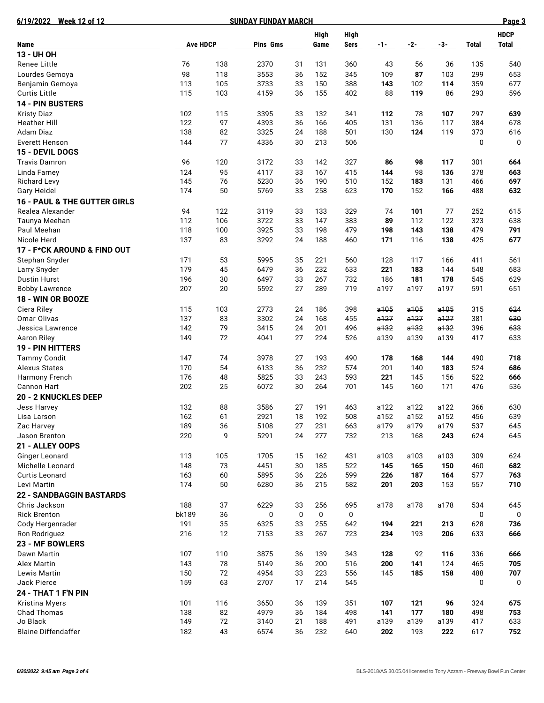| 6/19/2022 Week 12 of 12                     |                 |          | Page 3       |             |            |             |              |              |              |              |              |
|---------------------------------------------|-----------------|----------|--------------|-------------|------------|-------------|--------------|--------------|--------------|--------------|--------------|
|                                             |                 |          | <b>High</b>  | High        |            |             |              |              | <b>HDCP</b>  |              |              |
| Name                                        | <b>Ave HDCP</b> |          | Pins Gms     |             | Game       | <b>Sers</b> | $-1-$        | -2-          | $-3-$        | <b>Total</b> | <b>Total</b> |
| 13 - UH OH                                  |                 |          |              |             |            |             |              |              |              |              |              |
| <b>Renee Little</b>                         | 76              | 138      | 2370         | 31          | 131        | 360         | 43           | 56           | 36           | 135          | 540          |
| Lourdes Gemoya                              | 98              | 118      | 3553         | 36          | 152        | 345         | 109          | 87           | 103          | 299          | 653          |
| Benjamin Gemoya                             | 113             | 105      | 3733         | 33          | 150        | 388         | 143          | 102          | 114          | 359          | 677          |
| <b>Curtis Little</b>                        | 115             | 103      | 4159         | 36          | 155        | 402         | 88           | 119          | 86           | 293          | 596          |
| <b>14 - PIN BUSTERS</b>                     |                 |          |              |             |            |             |              |              |              |              |              |
| <b>Kristy Diaz</b>                          | 102             | 115      | 3395         | 33          | 132        | 341         | 112          | 78           | 107          | 297          | 639          |
| Heather Hill                                | 122             | 97       | 4393         | 36          | 166        | 405         | 131          | 136          | 117          | 384          | 678          |
| Adam Diaz                                   | 138             | 82       | 3325         | 24          | 188        | 501         | 130          | 124          | 119          | 373          | 616          |
| <b>Everett Henson</b>                       | 144             | 77       | 4336         | 30          | 213        | 506         |              |              |              | 0            | 0            |
| 15 - DEVIL DOGS                             |                 |          |              |             |            |             |              |              |              |              |              |
| <b>Travis Damron</b>                        | 96              | 120      | 3172         | 33          | 142        | 327         | 86           | 98           | 117          | 301          | 664          |
| Linda Farney                                | 124             | 95       | 4117         | 33          | 167        | 415         | 144          | 98           | 136          | 378          | 663          |
| <b>Richard Levy</b>                         | 145             | 76       | 5230         | 36          | 190        | 510         | 152          | 183          | 131          | 466          | 697          |
| Gary Heidel                                 | 174             | 50       | 5769         | 33          | 258        | 623         | 170          | 152          | 166          | 488          | 632          |
| <b>16 - PAUL &amp; THE GUTTER GIRLS</b>     |                 |          |              |             |            |             |              |              |              |              |              |
| Realea Alexander                            | 94              | 122      | 3119         | 33          | 133        | 329         | 74           | 101          | 77           | 252          | 615          |
| Taunya Meehan                               | 112             | 106      | 3722         | 33          | 147        | 383         | 89           | 112          | 122          | 323          | 638          |
| Paul Meehan                                 | 118             | 100      | 3925         | 33          | 198        | 479         | 198          | 143          | 138          | 479          | 791          |
| Nicole Herd                                 | 137             | 83       | 3292         | 24          | 188        | 460         | 171          | 116          | 138          | 425          | 677          |
| 17 - F*CK AROUND & FIND OUT                 |                 |          |              |             |            |             |              |              |              |              |              |
| Stephan Snyder                              | 171             | 53       | 5995         | 35          | 221        | 560         | 128          | 117          | 166          | 411          | 561          |
| Larry Snyder                                | 179             | 45       | 6479         | 36          | 232        | 633         | 221          | 183          | 144          | 548          | 683          |
| <b>Dustin Hurst</b>                         | 196             | 30       | 6497         | 33          | 267        | 732         | 186          | 181          | 178          | 545          | 629          |
| <b>Bobby Lawrence</b>                       | 207             | 20       | 5592         | 27          | 289        | 719         | a197         | a197         | a197         | 591          | 651          |
| 18 - WIN OR BOOZE                           |                 |          |              |             |            |             |              |              |              |              |              |
| Ciera Riley                                 | 115             | 103      | 2773         | 24          | 186        | 398         | a105         | a105         | a105         | 315          | 624          |
| Omar Olivas                                 | 137<br>142      | 83<br>79 | 3302         | 24<br>24    | 168<br>201 | 455<br>496  | a127<br>a132 | a127<br>a132 | a127         | 381          | 630          |
| Jessica Lawrence                            |                 |          | 3415         |             |            |             |              |              | a132         | 396          | 633          |
| Aaron Riley                                 | 149             | 72       | 4041         | 27          | 224        | 526         | a139         | a139         | a139         | 417          | 633          |
| 19 - PIN HITTERS                            |                 |          |              |             |            |             |              |              |              |              |              |
| <b>Tammy Condit</b><br><b>Alexus States</b> | 147             | 74       | 3978         | 27          | 193        | 490         | 178          | 168          | 144          | 490          | 718          |
|                                             | 170<br>176      | 54       | 6133         | 36          | 232<br>243 | 574         | 201<br>221   | 140          | 183<br>156   | 524          | 686          |
| Harmony French<br><b>Cannon Hart</b>        | 202             | 48<br>25 | 5825<br>6072 | 33<br>30    | 264        | 593<br>701  | 145          | 145<br>160   | 171          | 522<br>476   | 666<br>536   |
|                                             |                 |          |              |             |            |             |              |              |              |              |              |
| <b>20 - 2 KNUCKLES DEEP</b>                 |                 |          |              |             |            |             |              |              |              |              |              |
| Jess Harvey                                 | 132<br>162      | 88<br>61 | 3586<br>2921 | 27<br>18    | 191<br>192 | 463<br>508  | a122<br>a152 | a122<br>a152 | a122<br>a152 | 366<br>456   | 630<br>639   |
| Lisa Larson<br>Zac Harvey                   | 189             | 36       | 5108         | 27          | 231        | 663         | a179         | a179         | a179         | 537          | 645          |
| Jason Brenton                               | 220             | 9        | 5291         | 24          | 277        | 732         | 213          | 168          | 243          | 624          | 645          |
| 21 - ALLEY OOPS                             |                 |          |              |             |            |             |              |              |              |              |              |
| Ginger Leonard                              | 113             | 105      | 1705         | 15          | 162        | 431         | a103         | a103         | a103         | 309          | 624          |
| Michelle Leonard                            | 148             | 73       | 4451         | 30          | 185        | 522         | 145          | 165          | 150          | 460          | 682          |
| <b>Curtis Leonard</b>                       | 163             | 60       | 5895         | 36          | 226        | 599         | 226          | 187          | 164          | 577          | 763          |
| Levi Martin                                 | 174             | 50       | 6280         | 36          | 215        | 582         | 201          | 203          | 153          | 557          | 710          |
| 22 - SANDBAGGIN BASTARDS                    |                 |          |              |             |            |             |              |              |              |              |              |
| Chris Jackson                               | 188             | 37       | 6229         | 33          | 256        | 695         | a178         | a178         | a178         | 534          | 645          |
| <b>Rick Brenton</b>                         | bk189           | 36       | 0            | $\mathbf 0$ | 0          | $\mathbf 0$ |              |              |              | 0            | 0            |
| Cody Hergenrader                            | 191             | 35       | 6325         | 33          | 255        | 642         | 194          | 221          | 213          | 628          | 736          |
| Ron Rodriguez                               | 216             | 12       | 7153         | 33          | 267        | 723         | 234          | 193          | 206          | 633          | 666          |
| 23 - MF BOWLERS                             |                 |          |              |             |            |             |              |              |              |              |              |
| Dawn Martin                                 | 107             | 110      | 3875         | 36          | 139        | 343         | 128          | 92           | 116          | 336          | 666          |
| Alex Martin                                 | 143             | 78       | 5149         | 36          | 200        | 516         | 200          | 141          | 124          | 465          | 705          |
| Lewis Martin                                | 150             | 72       | 4954         | 33          | 223        | 556         | 145          | 185          | 158          | 488          | 707          |
| Jack Pierce                                 | 159             | 63       | 2707         | 17          | 214        | 545         |              |              |              | 0            | 0            |
| 24 - THAT 1 F'N PIN                         |                 |          |              |             |            |             |              |              |              |              |              |
| Kristina Myers                              | 101             | 116      | 3650         | 36          | 139        | 351         | 107          | 121          | 96           | 324          | 675          |
| Chad Thomas                                 | 138             | 82       | 4979         | 36          | 184        | 498         | 141          | 177          | 180          | 498          | 753          |
| Jo Black                                    | 149             | $72\,$   | 3140         | 21          | 188        | 491         | a139         | a139         | a139         | 417          | 633          |
| <b>Blaine Diffendaffer</b>                  | 182             | 43       | 6574         | 36          | 232        | 640         | 202          | 193          | 222          | 617          | 752          |
|                                             |                 |          |              |             |            |             |              |              |              |              |              |